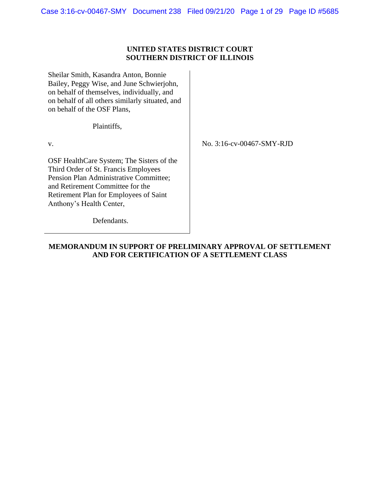## **UNITED STATES DISTRICT COURT SOUTHERN DISTRICT OF ILLINOIS**

Sheilar Smith, Kasandra Anton, Bonnie Bailey, Peggy Wise, and June Schwierjohn, on behalf of themselves, individually, and on behalf of all others similarly situated, and on behalf of the OSF Plans,

Plaintiffs,

v.

No. 3:16-cv-00467-SMY-RJD

OSF HealthCare System; The Sisters of the Third Order of St. Francis Employees Pension Plan Administrative Committee; and Retirement Committee for the Retirement Plan for Employees of Saint Anthony's Health Center,

Defendants.

**MEMORANDUM IN SUPPORT OF PRELIMINARY APPROVAL OF SETTLEMENT AND FOR CERTIFICATION OF A SETTLEMENT CLASS**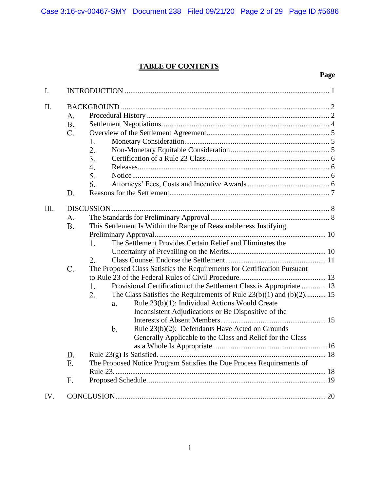# **TABLE OF CONTENTS**

# **Page**

| $I_{\cdot}$ |                                |                                                                                                                                                                                                                                                                                                                                                                                                                                                                                                     |  |
|-------------|--------------------------------|-----------------------------------------------------------------------------------------------------------------------------------------------------------------------------------------------------------------------------------------------------------------------------------------------------------------------------------------------------------------------------------------------------------------------------------------------------------------------------------------------------|--|
| II.         | A.<br><b>B.</b><br>C.          | 1.<br>2.<br>3.<br>4.<br>5.<br>6.                                                                                                                                                                                                                                                                                                                                                                                                                                                                    |  |
|             | D.                             |                                                                                                                                                                                                                                                                                                                                                                                                                                                                                                     |  |
| III.        | A.<br><b>B.</b><br>$C_{\cdot}$ | This Settlement Is Within the Range of Reasonableness Justifying<br>The Settlement Provides Certain Relief and Eliminates the<br>1.<br>2.<br>The Proposed Class Satisfies the Requirements for Certification Pursuant<br>Provisional Certification of the Settlement Class is Appropriate  13<br>1.<br>2.<br>The Class Satisfies the Requirements of Rule $23(b)(1)$ and $(b)(2)$ 15<br>Rule 23(b)(1): Individual Actions Would Create<br>a.<br>Inconsistent Adjudications or Be Dispositive of the |  |
|             |                                | Rule 23(b)(2): Defendants Have Acted on Grounds<br>$\mathbf b$ .<br>Generally Applicable to the Class and Relief for the Class                                                                                                                                                                                                                                                                                                                                                                      |  |
|             | D.                             |                                                                                                                                                                                                                                                                                                                                                                                                                                                                                                     |  |
|             | E.                             | The Proposed Notice Program Satisfies the Due Process Requirements of                                                                                                                                                                                                                                                                                                                                                                                                                               |  |
|             |                                |                                                                                                                                                                                                                                                                                                                                                                                                                                                                                                     |  |
|             | F.                             |                                                                                                                                                                                                                                                                                                                                                                                                                                                                                                     |  |
| IV.         |                                |                                                                                                                                                                                                                                                                                                                                                                                                                                                                                                     |  |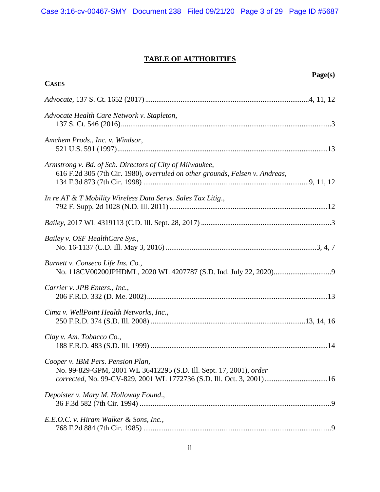# **TABLE OF AUTHORITIES**

| Page(s)<br><b>CASES</b>                                                                                                                                                         |
|---------------------------------------------------------------------------------------------------------------------------------------------------------------------------------|
|                                                                                                                                                                                 |
| Advocate Health Care Network v. Stapleton,                                                                                                                                      |
| Amchem Prods., Inc. v. Windsor,                                                                                                                                                 |
| Armstrong v. Bd. of Sch. Directors of City of Milwaukee,<br>616 F.2d 305 (7th Cir. 1980), overruled on other grounds, Felsen v. Andreas,                                        |
| In re AT & T Mobility Wireless Data Servs. Sales Tax Litig.,                                                                                                                    |
|                                                                                                                                                                                 |
| Bailey v. OSF HealthCare Sys.,                                                                                                                                                  |
| Burnett v. Conseco Life Ins. Co.,                                                                                                                                               |
| Carrier v. JPB Enters., Inc.,                                                                                                                                                   |
| Cima v. WellPoint Health Networks, Inc.,                                                                                                                                        |
| Clay v. Am. Tobacco Co.,                                                                                                                                                        |
| Cooper v. IBM Pers. Pension Plan,<br>No. 99-829-GPM, 2001 WL 36412295 (S.D. Ill. Sept. 17, 2001), order<br>corrected, No. 99-CV-829, 2001 WL 1772736 (S.D. Ill. Oct. 3, 2001)16 |
| Depoister v. Mary M. Holloway Found.,                                                                                                                                           |
| E.E.O.C. v. Hiram Walker & Sons, Inc.,                                                                                                                                          |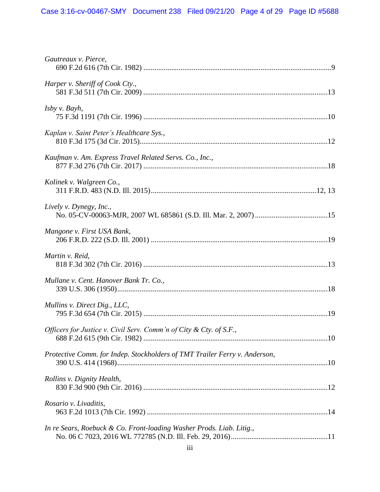| Gautreaux v. Pierce,                                                       |  |
|----------------------------------------------------------------------------|--|
| Harper v. Sheriff of Cook Cty.,                                            |  |
| Isby v. Bayh,                                                              |  |
| Kaplan v. Saint Peter's Healthcare Sys.,                                   |  |
| Kaufman v. Am. Express Travel Related Servs. Co., Inc.,                    |  |
| Kolinek v. Walgreen Co.,                                                   |  |
| Lively v. Dynegy, Inc.,                                                    |  |
| Mangone v. First USA Bank,                                                 |  |
| Martin v. Reid,                                                            |  |
| Mullane v. Cent. Hanover Bank Tr. Co.,                                     |  |
| Mullins v. Direct Dig., LLC,                                               |  |
| Officers for Justice v. Civil Serv. Comm'n of City & Cty. of S.F.,         |  |
| Protective Comm. for Indep. Stockholders of TMT Trailer Ferry v. Anderson, |  |
| Rollins v. Dignity Health,                                                 |  |
| Rosario v. Livaditis,                                                      |  |
| In re Sears, Roebuck & Co. Front-loading Washer Prods. Liab. Litig.,       |  |
|                                                                            |  |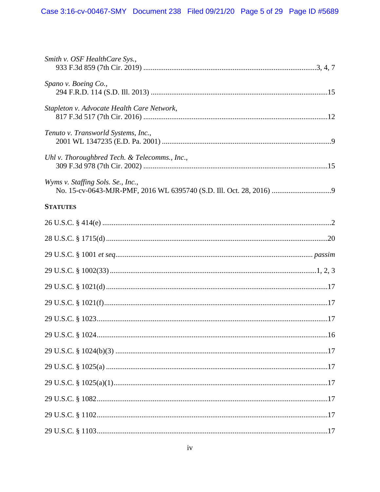| Smith v. OSF HealthCare Sys.,                 |  |
|-----------------------------------------------|--|
| Spano v. Boeing Co.,                          |  |
| Stapleton v. Advocate Health Care Network,    |  |
| Tenuto v. Transworld Systems, Inc.,           |  |
| Uhl v. Thoroughbred Tech. & Telecomms., Inc., |  |
| Wyms v. Staffing Sols. Se., Inc.,             |  |
| <b>STATUTES</b>                               |  |
|                                               |  |
|                                               |  |
|                                               |  |
|                                               |  |
|                                               |  |
|                                               |  |
|                                               |  |
|                                               |  |
|                                               |  |
|                                               |  |
|                                               |  |
|                                               |  |
|                                               |  |
|                                               |  |
|                                               |  |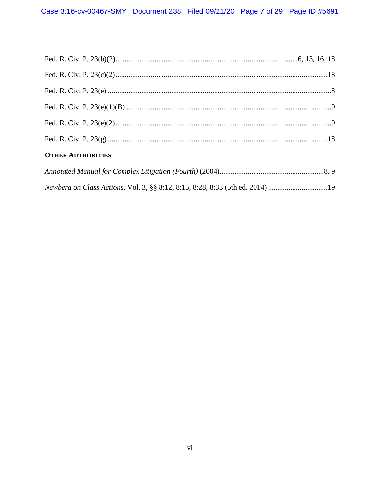| <b>OTHER AUTHORITIES</b> |  |
|--------------------------|--|
|                          |  |

|  | Newberg on Class Actions, Vol. 3, §§ 8:12, 8:15, 8:28, 8:33 (5th ed. 2014) 19 |  |
|--|-------------------------------------------------------------------------------|--|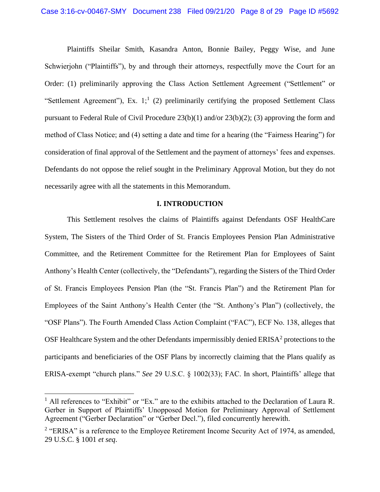<span id="page-7-2"></span>Plaintiffs Sheilar Smith, Kasandra Anton, Bonnie Bailey, Peggy Wise, and June Schwierjohn ("Plaintiffs"), by and through their attorneys, respectfully move the Court for an Order: (1) preliminarily approving the Class Action Settlement Agreement ("Settlement" or "Settlement Agreement"), Ex.  $1$ <sup>1</sup>, (2) preliminarily certifying the proposed Settlement Class pursuant to Federal Rule of Civil Procedure 23(b)(1) and/or 23(b)(2); (3) approving the form and method of Class Notice; and (4) setting a date and time for a hearing (the "Fairness Hearing") for consideration of final approval of the Settlement and the payment of attorneys' fees and expenses. Defendants do not oppose the relief sought in the Preliminary Approval Motion, but they do not necessarily agree with all the statements in this Memorandum.

## **I. INTRODUCTION**

This Settlement resolves the claims of Plaintiffs against Defendants OSF HealthCare System, The Sisters of the Third Order of St. Francis Employees Pension Plan Administrative Committee, and the Retirement Committee for the Retirement Plan for Employees of Saint Anthony's Health Center (collectively, the "Defendants"), regarding the Sisters of the Third Order of St. Francis Employees Pension Plan (the "St. Francis Plan") and the Retirement Plan for Employees of the Saint Anthony's Health Center (the "St. Anthony's Plan") (collectively, the "OSF Plans"). The Fourth Amended Class Action Complaint ("FAC"), ECF No. 138, alleges that OSF Healthcare System and the other Defendants impermissibly denied  $ERISA<sup>2</sup>$  protections to the participants and beneficiaries of the OSF Plans by incorrectly claiming that the Plans qualify as ERISA-exempt "church plans." *See* 29 U.S.C. § 1002(33); FAC. In short, Plaintiffs' allege that

<span id="page-7-1"></span><sup>&</sup>lt;sup>1</sup> All references to "Exhibit" or "Ex." are to the exhibits attached to the Declaration of Laura R. Gerber in Support of Plaintiffs' Unopposed Motion for Preliminary Approval of Settlement Agreement ("Gerber Declaration" or "Gerber Decl."), filed concurrently herewith.

<span id="page-7-0"></span><sup>&</sup>lt;sup>2</sup> "ERISA" is a reference to the Employee Retirement Income Security Act of 1974, as amended, 29 U.S.C. § 1001 *et seq*.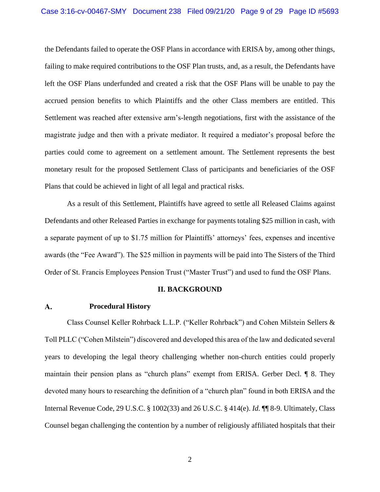the Defendants failed to operate the OSF Plans in accordance with ERISA by, among other things, failing to make required contributions to the OSF Plan trusts, and, as a result, the Defendants have left the OSF Plans underfunded and created a risk that the OSF Plans will be unable to pay the accrued pension benefits to which Plaintiffs and the other Class members are entitled. This Settlement was reached after extensive arm's-length negotiations, first with the assistance of the magistrate judge and then with a private mediator. It required a mediator's proposal before the parties could come to agreement on a settlement amount. The Settlement represents the best monetary result for the proposed Settlement Class of participants and beneficiaries of the OSF Plans that could be achieved in light of all legal and practical risks.

As a result of this Settlement, Plaintiffs have agreed to settle all Released Claims against Defendants and other Released Parties in exchange for payments totaling \$25 million in cash, with a separate payment of up to \$1.75 million for Plaintiffs' attorneys' fees, expenses and incentive awards (the "Fee Award"). The \$25 million in payments will be paid into The Sisters of the Third Order of St. Francis Employees Pension Trust ("Master Trust") and used to fund the OSF Plans.

## <span id="page-8-0"></span>**II. BACKGROUND**

#### **Procedural History** A.

<span id="page-8-1"></span>Class Counsel Keller Rohrback L.L.P. ("Keller Rohrback") and Cohen Milstein Sellers & Toll PLLC ("Cohen Milstein") discovered and developed this area of the law and dedicated several years to developing the legal theory challenging whether non-church entities could properly maintain their pension plans as "church plans" exempt from ERISA. Gerber Decl. ¶ 8. They devoted many hours to researching the definition of a "church plan" found in both ERISA and the Internal Revenue Code, 29 U.S.C. § 1002(33) and 26 U.S.C. § 414(e). *Id.* ¶¶ 8-9. Ultimately, Class Counsel began challenging the contention by a number of religiously affiliated hospitals that their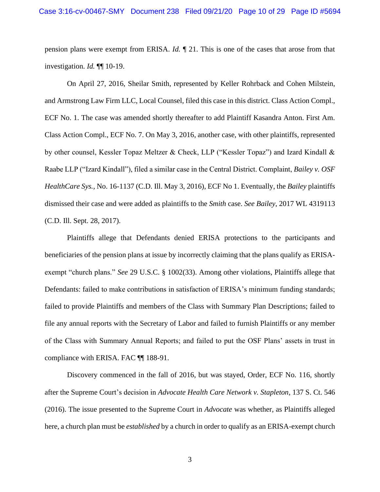pension plans were exempt from ERISA. *Id.* ¶ 21. This is one of the cases that arose from that investigation. *Id.* ¶¶ 10-19.

On April 27, 2016, Sheilar Smith, represented by Keller Rohrback and Cohen Milstein, and Armstrong Law Firm LLC, Local Counsel, filed this case in this district. Class Action Compl., ECF No. 1. The case was amended shortly thereafter to add Plaintiff Kasandra Anton. First Am. Class Action Compl., ECF No. 7. On May 3, 2016, another case, with other plaintiffs, represented by other counsel, Kessler Topaz Meltzer & Check, LLP ("Kessler Topaz") and Izard Kindall & Raabe LLP ("Izard Kindall"), filed a similar case in the Central District. Complaint, *Bailey v. OSF HealthCare Sys.*, No. 16-1137 (C.D. Ill. May 3, 2016), ECF No 1. Eventually, the *Bailey* plaintiffs dismissed their case and were added as plaintiffs to the *Smith* case. *See Bailey*, 2017 WL 4319113 (C.D. Ill. Sept. 28, 2017).

<span id="page-9-4"></span><span id="page-9-3"></span><span id="page-9-2"></span><span id="page-9-1"></span>Plaintiffs allege that Defendants denied ERISA protections to the participants and beneficiaries of the pension plans at issue by incorrectly claiming that the plans qualify as ERISAexempt "church plans." *See* 29 U.S.C. § 1002(33). Among other violations, Plaintiffs allege that Defendants: failed to make contributions in satisfaction of ERISA's minimum funding standards; failed to provide Plaintiffs and members of the Class with Summary Plan Descriptions; failed to file any annual reports with the Secretary of Labor and failed to furnish Plaintiffs or any member of the Class with Summary Annual Reports; and failed to put the OSF Plans' assets in trust in compliance with ERISA. FAC ¶¶ 188-91.

<span id="page-9-0"></span>Discovery commenced in the fall of 2016, but was stayed, Order, ECF No. 116, shortly after the Supreme Court's decision in *Advocate Health Care Network v. Stapleton*, 137 S. Ct. 546 (2016). The issue presented to the Supreme Court in *Advocate* was whether, as Plaintiffs alleged here, a church plan must be *established* by a church in order to qualify as an ERISA-exempt church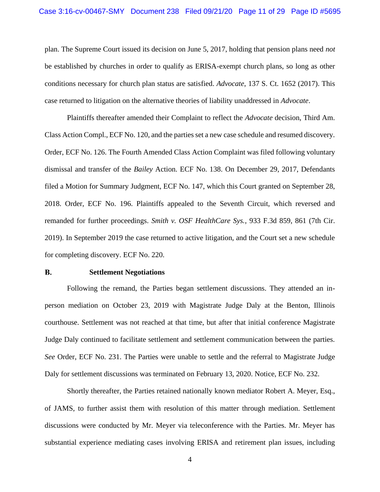<span id="page-10-0"></span>plan. The Supreme Court issued its decision on June 5, 2017, holding that pension plans need *not* be established by churches in order to qualify as ERISA-exempt church plans, so long as other conditions necessary for church plan status are satisfied. *Advocate*, 137 S. Ct. 1652 (2017). This case returned to litigation on the alternative theories of liability unaddressed in *Advocate*.

<span id="page-10-1"></span>Plaintiffs thereafter amended their Complaint to reflect the *Advocate* decision, Third Am. Class Action Compl., ECF No. 120, and the parties set a new case schedule and resumed discovery. Order, ECF No. 126. The Fourth Amended Class Action Complaint was filed following voluntary dismissal and transfer of the *Bailey* Action. ECF No. 138. On December 29, 2017, Defendants filed a Motion for Summary Judgment, ECF No. 147, which this Court granted on September 28, 2018. Order, ECF No. 196. Plaintiffs appealed to the Seventh Circuit, which reversed and remanded for further proceedings. *Smith v. OSF HealthCare Sys.*, 933 F.3d 859, 861 (7th Cir. 2019). In September 2019 the case returned to active litigation, and the Court set a new schedule for completing discovery. ECF No. 220.

#### <span id="page-10-2"></span>**B. Settlement Negotiations**

Following the remand, the Parties began settlement discussions. They attended an inperson mediation on October 23, 2019 with Magistrate Judge Daly at the Benton, Illinois courthouse. Settlement was not reached at that time, but after that initial conference Magistrate Judge Daly continued to facilitate settlement and settlement communication between the parties. *See* Order, ECF No. 231. The Parties were unable to settle and the referral to Magistrate Judge Daly for settlement discussions was terminated on February 13, 2020. Notice, ECF No. 232.

Shortly thereafter, the Parties retained nationally known mediator Robert A. Meyer, Esq., of JAMS, to further assist them with resolution of this matter through mediation. Settlement discussions were conducted by Mr. Meyer via teleconference with the Parties. Mr. Meyer has substantial experience mediating cases involving ERISA and retirement plan issues, including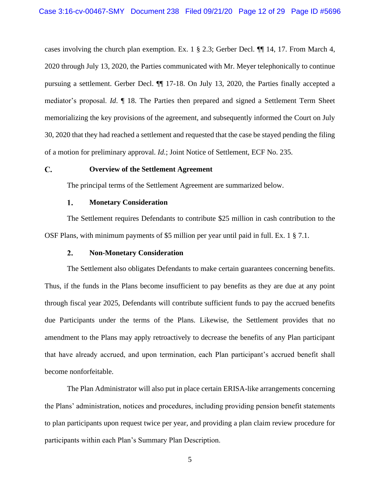cases involving the church plan exemption. Ex. 1 § 2.3; Gerber Decl. ¶¶ 14, 17. From March 4, 2020 through July 13, 2020, the Parties communicated with Mr. Meyer telephonically to continue pursuing a settlement. Gerber Decl. ¶¶ 17-18. On July 13, 2020*,* the Parties finally accepted a mediator's proposal. *Id*. ¶ 18. The Parties then prepared and signed a Settlement Term Sheet memorializing the key provisions of the agreement, and subsequently informed the Court on July 30, 2020 that they had reached a settlement and requested that the case be stayed pending the filing of a motion for preliminary approval. *Id.*; Joint Notice of Settlement, ECF No. 235.

#### $\mathbf{C}$ . **Overview of the Settlement Agreement**

The principal terms of the Settlement Agreement are summarized below.

#### $1.$ **Monetary Consideration**

The Settlement requires Defendants to contribute \$25 million in cash contribution to the OSF Plans, with minimum payments of \$5 million per year until paid in full. Ex. 1 § 7.1.

#### $2.$ **Non-Monetary Consideration**

The Settlement also obligates Defendants to make certain guarantees concerning benefits. Thus, if the funds in the Plans become insufficient to pay benefits as they are due at any point through fiscal year 2025, Defendants will contribute sufficient funds to pay the accrued benefits due Participants under the terms of the Plans. Likewise, the Settlement provides that no amendment to the Plans may apply retroactively to decrease the benefits of any Plan participant that have already accrued, and upon termination, each Plan participant's accrued benefit shall become nonforfeitable.

The Plan Administrator will also put in place certain ERISA-like arrangements concerning the Plans' administration, notices and procedures, including providing pension benefit statements to plan participants upon request twice per year, and providing a plan claim review procedure for participants within each Plan's Summary Plan Description.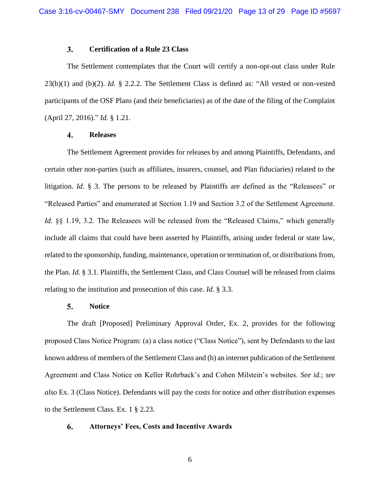#### <span id="page-12-1"></span><span id="page-12-0"></span> $3.$ **Certification of a Rule 23 Class**

<span id="page-12-2"></span>The Settlement contemplates that the Court will certify a non-opt-out class under Rule 23(b)(1) and (b)(2). *Id.* § 2.2.2. The Settlement Class is defined as: "All vested or non-vested participants of the OSF Plans (and their beneficiaries) as of the date of the filing of the Complaint (April 27, 2016)." *Id.* § 1.21.

#### $\overline{4}$ . **Releases**

The Settlement Agreement provides for releases by and among Plaintiffs, Defendants, and certain other non-parties (such as affiliates, insurers, counsel, and Plan fiduciaries) related to the litigation. *Id*. § 3. The persons to be released by Plaintiffs are defined as the "Releasees" or "Released Parties" and enumerated at Section 1.19 and Section 3.2 of the Settlement Agreement. *Id.*  $\S$ § 1.19, 3.2. The Releasees will be released from the "Released Claims," which generally include all claims that could have been asserted by Plaintiffs, arising under federal or state law, related to the sponsorship, funding, maintenance, operation or termination of, or distributions from, the Plan. *Id.* § 3.1. Plaintiffs, the Settlement Class, and Class Counsel will be released from claims relating to the institution and prosecution of this case. *Id*. § 3.3.

#### 5. **Notice**

The draft [Proposed] Preliminary Approval Order, Ex. 2, provides for the following proposed Class Notice Program: (a) a class notice ("Class Notice"), sent by Defendants to the last known address of members of the Settlement Class and (b) an internet publication of the Settlement Agreement and Class Notice on Keller Rohrback's and Cohen Milstein's websites. *See id.*; *see also* Ex. 3 (Class Notice). Defendants will pay the costs for notice and other distribution expenses to the Settlement Class. Ex. 1 § 2.23.

#### 6. **Attorneys' Fees, Costs and Incentive Awards**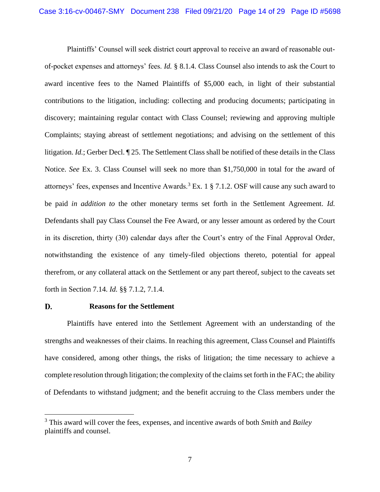Plaintiffs' Counsel will seek district court approval to receive an award of reasonable outof-pocket expenses and attorneys' fees. *Id.* § 8.1.4. Class Counsel also intends to ask the Court to award incentive fees to the Named Plaintiffs of \$5,000 each, in light of their substantial contributions to the litigation, including: collecting and producing documents; participating in discovery; maintaining regular contact with Class Counsel; reviewing and approving multiple Complaints; staying abreast of settlement negotiations; and advising on the settlement of this litigation. *Id.*; Gerber Decl. ¶ 25. The Settlement Class shall be notified of these details in the Class Notice. *See* Ex. 3. Class Counsel will seek no more than \$1,750,000 in total for the award of attorneys' fees, expenses and Incentive Awards.<sup>3</sup> Ex. 1  $\S$  7.1.2. OSF will cause any such award to be paid *in addition to* the other monetary terms set forth in the Settlement Agreement. *Id.* Defendants shall pay Class Counsel the Fee Award, or any lesser amount as ordered by the Court in its discretion, thirty (30) calendar days after the Court's entry of the Final Approval Order, notwithstanding the existence of any timely-filed objections thereto, potential for appeal therefrom, or any collateral attack on the Settlement or any part thereof, subject to the caveats set forth in Section 7.14. *Id.* §§ 7.1.2, 7.1.4.

#### D. **Reasons for the Settlement**

Plaintiffs have entered into the Settlement Agreement with an understanding of the strengths and weaknesses of their claims. In reaching this agreement, Class Counsel and Plaintiffs have considered, among other things, the risks of litigation; the time necessary to achieve a complete resolution through litigation; the complexity of the claims set forth in the FAC; the ability of Defendants to withstand judgment; and the benefit accruing to the Class members under the

<span id="page-13-1"></span><span id="page-13-0"></span><sup>3</sup> This award will cover the fees, expenses, and incentive awards of both *Smith* and *Bailey* plaintiffs and counsel.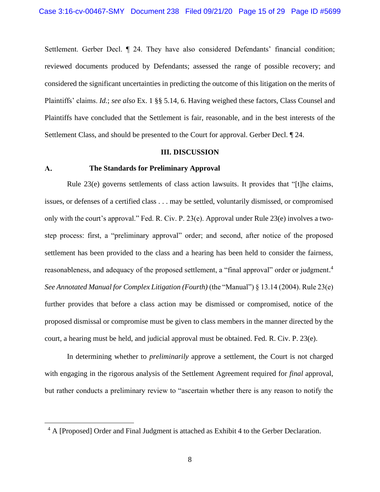Settlement. Gerber Decl. ¶ 24. They have also considered Defendants' financial condition; reviewed documents produced by Defendants; assessed the range of possible recovery; and considered the significant uncertainties in predicting the outcome of this litigation on the merits of Plaintiffs' claims. *Id.*; *see also* Ex. 1 §§ 5.14, 6. Having weighed these factors, Class Counsel and Plaintiffs have concluded that the Settlement is fair, reasonable, and in the best interests of the Settlement Class, and should be presented to the Court for approval. Gerber Decl. ¶ 24.

## <span id="page-14-1"></span>**III. DISCUSSION**

#### **The Standards for Preliminary Approval**   $\mathbf{A}$ .

<span id="page-14-0"></span>Rule 23(e) governs settlements of class action lawsuits. It provides that "[t]he claims, issues, or defenses of a certified class . . . may be settled, voluntarily dismissed, or compromised only with the court's approval." Fed. R. Civ. P. 23(e). Approval under Rule 23(e) involves a twostep process: first, a "preliminary approval" order; and second, after notice of the proposed settlement has been provided to the class and a hearing has been held to consider the fairness, reasonableness, and adequacy of the proposed settlement, a "final approval" order or judgment.<sup>4</sup> *See Annotated Manual for Complex Litigation (Fourth)* (the "Manual") § 13.14 (2004). Rule 23(e) further provides that before a class action may be dismissed or compromised, notice of the proposed dismissal or compromise must be given to class members in the manner directed by the court, a hearing must be held, and judicial approval must be obtained. Fed. R. Civ. P. 23(e).

In determining whether to *preliminarily* approve a settlement, the Court is not charged with engaging in the rigorous analysis of the Settlement Agreement required for *final* approval, but rather conducts a preliminary review to "ascertain whether there is any reason to notify the

<sup>&</sup>lt;sup>4</sup> A [Proposed] Order and Final Judgment is attached as Exhibit 4 to the Gerber Declaration.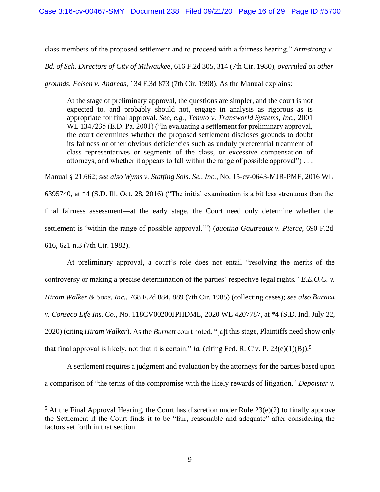class members of the proposed settlement and to proceed with a fairness hearing." *Armstrong v.* 

*Bd. of Sch. Directors of City of Milwaukee*, 616 F.2d 305, 314 (7th Cir. 1980), *overruled on other* 

*grounds*, *Felsen v. Andreas*, 134 F.3d 873 (7th Cir. 1998). As the Manual explains:

<span id="page-15-5"></span><span id="page-15-0"></span>At the stage of preliminary approval, the questions are simpler, and the court is not expected to, and probably should not, engage in analysis as rigorous as is appropriate for final approval. *See, e.g.*, *Tenuto v. Transworld Systems, Inc.*, 2001 WL 1347235 (E.D. Pa. 2001) ("In evaluating a settlement for preliminary approval, the court determines whether the proposed settlement discloses grounds to doubt its fairness or other obvious deficiencies such as unduly preferential treatment of class representatives or segments of the class, or excessive compensation of attorneys, and whether it appears to fall within the range of possible approval") . . .

<span id="page-15-9"></span><span id="page-15-6"></span>Manual § 21.662; *see also Wyms v. Staffing Sols. Se., Inc.*, No. 15-cv-0643-MJR-PMF, 2016 WL 6395740, at \*4 (S.D. Ill. Oct. 28, 2016) ("The initial examination is a bit less strenuous than the final fairness assessment—at the early stage, the Court need only determine whether the settlement is 'within the range of possible approval.'") (*quoting Gautreaux v. Pierce*, 690 F.2d 616, 621 n.3 (7th Cir. 1982).

<span id="page-15-4"></span><span id="page-15-3"></span><span id="page-15-1"></span>At preliminary approval, a court's role does not entail "resolving the merits of the controversy or making a precise determination of the parties' respective legal rights." *E.E.O.C. v. Hiram Walker & Sons, Inc.*, 768 F.2d 884, 889 (7th Cir. 1985) (collecting cases); *see also Burnett v. Conseco Life Ins. Co.,* No. 118CV00200JPHDML, 2020 WL 4207787, at \*4 (S.D. Ind. July 22, 2020) (citing *Hiram Walker*). As the *Burnett* court noted, "[a]t this stage, Plaintiffs need show only that final approval is likely, not that it is certain." *Id.* (citing Fed. R. Civ. P. 23(e)(1)(B)).<sup>5</sup>

<span id="page-15-7"></span><span id="page-15-2"></span>A settlement requires a judgment and evaluation by the attorneys for the parties based upon a comparison of "the terms of the compromise with the likely rewards of litigation." *Depoister v.* 

<span id="page-15-8"></span> $5$  At the Final Approval Hearing, the Court has discretion under Rule 23(e)(2) to finally approve the Settlement if the Court finds it to be "fair, reasonable and adequate" after considering the factors set forth in that section.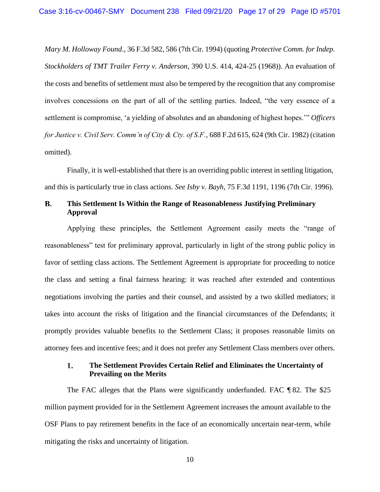<span id="page-16-2"></span>*Mary M. Holloway Found*., 36 F.3d 582, 586 (7th Cir. 1994) (quoting *Protective Comm. for Indep. Stockholders of TMT Trailer Ferry v. Anderson*, 390 U.S. 414, 424-25 (1968)). An evaluation of the costs and benefits of settlement must also be tempered by the recognition that any compromise involves concessions on the part of all of the settling parties. Indeed, "the very essence of a settlement is compromise, 'a yielding of absolutes and an abandoning of highest hopes.'" *Officers for Justice v. Civil Serv. Comm'n of City & Cty. of S.F.*, 688 F.2d 615, 624 (9th Cir. 1982) (citation omitted).

<span id="page-16-1"></span>Finally, it is well-established that there is an overriding public interest in settling litigation, and this is particularly true in class actions. *See Isby v. Bayh*, 75 F.3d 1191, 1196 (7th Cir. 1996).

### <span id="page-16-0"></span> $\mathbf{B}$ . **This Settlement Is Within the Range of Reasonableness Justifying Preliminary Approval**

Applying these principles, the Settlement Agreement easily meets the "range of reasonableness" test for preliminary approval, particularly in light of the strong public policy in favor of settling class actions. The Settlement Agreement is appropriate for proceeding to notice the class and setting a final fairness hearing: it was reached after extended and contentious negotiations involving the parties and their counsel, and assisted by a two skilled mediators; it takes into account the risks of litigation and the financial circumstances of the Defendants; it promptly provides valuable benefits to the Settlement Class; it proposes reasonable limits on attorney fees and incentive fees; and it does not prefer any Settlement Class members over others.

### 1. **The Settlement Provides Certain Relief and Eliminates the Uncertainty of Prevailing on the Merits**

The FAC alleges that the Plans were significantly underfunded. FAC ¶ 82. The \$25 million payment provided for in the Settlement Agreement increases the amount available to the OSF Plans to pay retirement benefits in the face of an economically uncertain near-term, while mitigating the risks and uncertainty of litigation.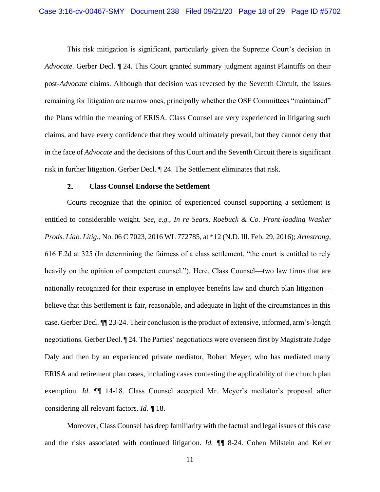<span id="page-17-0"></span>This risk mitigation is significant, particularly given the Supreme Court's decision in *Advocate.* Gerber Decl. ¶ 24. This Court granted summary judgment against Plaintiffs on their post-*Advocate* claims. Although that decision was reversed by the Seventh Circuit, the issues remaining for litigation are narrow ones, principally whether the OSF Committees "maintained" the Plans within the meaning of ERISA. Class Counsel are very experienced in litigating such claims, and have every confidence that they would ultimately prevail, but they cannot deny that in the face of *Advocate* and the decisions of this Court and the Seventh Circuit there is significant risk in further litigation. Gerber Decl. ¶ 24. The Settlement eliminates that risk.

#### <span id="page-17-2"></span><span id="page-17-1"></span> $2.$ **Class Counsel Endorse the Settlement**

Courts recognize that the opinion of experienced counsel supporting a settlement is entitled to considerable weight. *See, e.g.*, *In re Sears, Roebuck & Co. Front-loading Washer Prods. Liab. Litig.*, No. 06 C 7023, 2016 WL 772785, at \*12 (N.D. Ill. Feb. 29, 2016); *Armstrong*, 616 F.2d at 325 (In determining the fairness of a class settlement, "the court is entitled to rely heavily on the opinion of competent counsel."). Here, Class Counsel—two law firms that are nationally recognized for their expertise in employee benefits law and church plan litigation believe that this Settlement is fair, reasonable, and adequate in light of the circumstances in this case. Gerber Decl. ¶¶ 23-24. Their conclusion is the product of extensive, informed, arm's-length negotiations. Gerber Decl. ¶ 24. The Parties' negotiations were overseen first by Magistrate Judge Daly and then by an experienced private mediator, Robert Meyer, who has mediated many ERISA and retirement plan cases, including cases contesting the applicability of the church plan exemption. *Id*. ¶¶ 14-18. Class Counsel accepted Mr. Meyer's mediator's proposal after considering all relevant factors. *Id. ¶* 18.

Moreover, Class Counsel has deep familiarity with the factual and legal issues of this case and the risks associated with continued litigation. *Id. ¶¶* 8-24. Cohen Milstein and Keller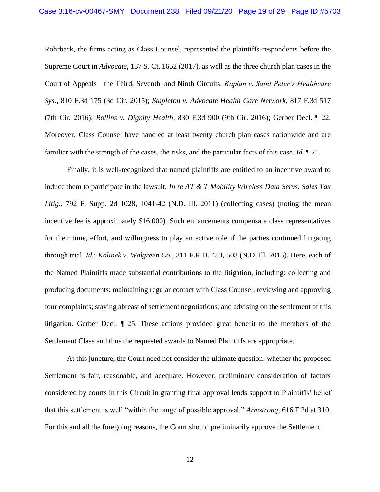<span id="page-18-6"></span><span id="page-18-3"></span><span id="page-18-0"></span>Rohrback, the firms acting as Class Counsel, represented the plaintiffs-respondents before the Supreme Court in *Advocate*, 137 S. Ct. 1652 (2017), as well as the three church plan cases in the Court of Appeals—the Third, Seventh, and Ninth Circuits. *Kaplan v. Saint Peter's Healthcare Sys.*, 810 F.3d 175 (3d Cir. 2015); *Stapleton v. Advocate Health Care Network*, 817 F.3d 517 (7th Cir. 2016); *Rollins v. Dignity Health*, 830 F.3d 900 (9th Cir. 2016); Gerber Decl. ¶ 22. Moreover, Class Counsel have handled at least twenty church plan cases nationwide and are familiar with the strength of the cases, the risks, and the particular facts of this case. *Id.* ¶ 21.

<span id="page-18-5"></span><span id="page-18-4"></span><span id="page-18-2"></span>Finally, it is well-recognized that named plaintiffs are entitled to an incentive award to induce them to participate in the lawsuit. *In re AT & T Mobility Wireless Data Servs. Sales Tax Litig*., 792 F. Supp. 2d 1028, 1041-42 (N.D. Ill. 2011) (collecting cases) (noting the mean incentive fee is approximately \$16,000). Such enhancements compensate class representatives for their time, effort, and willingness to play an active role if the parties continued litigating through trial. *Id.*; *Kolinek v. Walgreen Co.*, 311 F.R.D. 483, 503 (N.D. Ill. 2015). Here, each of the Named Plaintiffs made substantial contributions to the litigation, including: collecting and producing documents; maintaining regular contact with Class Counsel; reviewing and approving four complaints; staying abreast of settlement negotiations; and advising on the settlement of this litigation. Gerber Decl. ¶ 25. These actions provided great benefit to the members of the Settlement Class and thus the requested awards to Named Plaintiffs are appropriate.

At this juncture, the Court need not consider the ultimate question: whether the proposed Settlement is fair, reasonable, and adequate. However, preliminary consideration of factors considered by courts in this Circuit in granting final approval lends support to Plaintiffs' belief that this settlement is well "within the range of possible approval." *Armstrong*, 616 F.2d at 310. For this and all the foregoing reasons, the Court should preliminarily approve the Settlement.

<span id="page-18-1"></span>12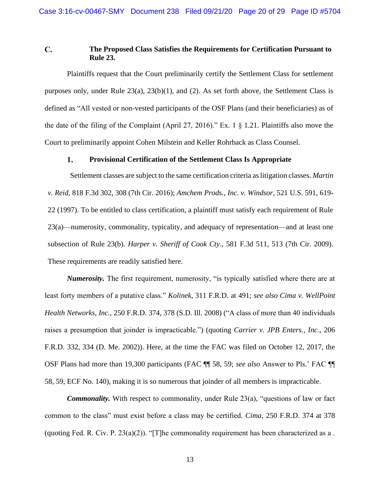### <span id="page-19-6"></span> $\mathbf{C}$ . **The Proposed Class Satisfies the Requirements for Certification Pursuant to Rule 23.**

<span id="page-19-10"></span><span id="page-19-7"></span>Plaintiffs request that the Court preliminarily certify the Settlement Class for settlement purposes only, under Rule 23(a), 23(b)(1), and (2). As set forth above, the Settlement Class is defined as "All vested or non-vested participants of the OSF Plans (and their beneficiaries) as of the date of the filing of the Complaint (April 27, 2016)." Ex. 1 § 1.21. Plaintiffs also move the Court to preliminarily appoint Cohen Milstein and Keller Rohrback as Class Counsel.

#### <span id="page-19-11"></span><span id="page-19-5"></span><span id="page-19-0"></span>1. **Provisional Certification of the Settlement Class Is Appropriate**

Settlement classes are subject to the same certification criteria as litigation classes. *Martin v. Reid*, 818 F.3d 302, 308 (7th Cir. 2016); *Amchem Prods., Inc. v. Windsor*, 521 U.S. 591, 619- 22 (1997). To be entitled to class certification, a plaintiff must satisfy each requirement of Rule 23(a)—numerosity, commonality, typicality, and adequacy of representation—and at least one subsection of Rule 23(b). *Harper v. Sheriff of Cook Cty.*, 581 F.3d 511, 513 (7th Cir. 2009). These requirements are readily satisfied here.

<span id="page-19-9"></span><span id="page-19-4"></span><span id="page-19-3"></span><span id="page-19-2"></span><span id="page-19-1"></span>*Numerosity.* The first requirement, numerosity, "is typically satisfied where there are at least forty members of a putative class." *Kolinek*, 311 F.R.D. at 491; *see also Cima v. WellPoint Health Networks, Inc.*, 250 F.R.D. 374, 378 (S.D. Ill. 2008) ("A class of more than 40 individuals raises a presumption that joinder is impracticable.") (quoting *Carrier v. JPB Enters., Inc.*, 206 F.R.D. 332, 334 (D. Me. 2002)). Here, at the time the FAC was filed on October 12, 2017, the OSF Plans had more than 19,300 participants (FAC ¶¶ 58, 59; *see also* Answer to Pls.' FAC ¶¶ 58, 59, ECF No. 140), making it is so numerous that joinder of all members is impracticable.

<span id="page-19-8"></span>*Commonality.* With respect to commonality, under Rule 23(a), "questions of law or fact common to the class" must exist before a class may be certified. *Cima*, 250 F.R.D. 374 at 378 (quoting Fed. R. Civ. P. 23(a)(2)). "[T]he commonality requirement has been characterized as a.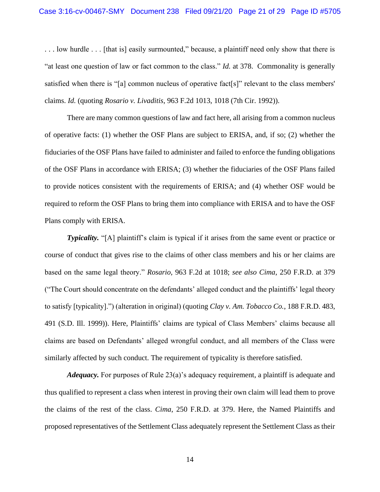<span id="page-20-0"></span>. . . low hurdle . . . [that is] easily surmounted," because, a plaintiff need only show that there is "at least one question of law or fact common to the class." *Id.* at 378. Commonality is generally satisfied when there is "[a] common nucleus of operative fact[s]" relevant to the class members' claims. *Id.* (quoting *Rosario v. Livaditis*, 963 F.2d 1013, 1018 (7th Cir. 1992)).

<span id="page-20-2"></span>There are many common questions of law and fact here, all arising from a common nucleus of operative facts: (1) whether the OSF Plans are subject to ERISA, and, if so; (2) whether the fiduciaries of the OSF Plans have failed to administer and failed to enforce the funding obligations of the OSF Plans in accordance with ERISA; (3) whether the fiduciaries of the OSF Plans failed to provide notices consistent with the requirements of ERISA; and (4) whether OSF would be required to reform the OSF Plans to bring them into compliance with ERISA and to have the OSF Plans comply with ERISA.

<span id="page-20-1"></span>**Typicality.** "[A] plaintiff's claim is typical if it arises from the same event or practice or course of conduct that gives rise to the claims of other class members and his or her claims are based on the same legal theory." *Rosario*, 963 F.2d at 1018; *see also Cima*, 250 F.R.D. at 379 ("The Court should concentrate on the defendants' alleged conduct and the plaintiffs' legal theory to satisfy [typicality].") (alteration in original) (quoting *Clay v. Am. Tobacco Co.*, 188 F.R.D. 483, 491 (S.D. Ill. 1999)). Here, Plaintiffs' claims are typical of Class Members' claims because all claims are based on Defendants' alleged wrongful conduct, and all members of the Class were similarly affected by such conduct. The requirement of typicality is therefore satisfied.

<span id="page-20-3"></span>*Adequacy.* For purposes of Rule 23(a)'s adequacy requirement, a plaintiff is adequate and thus qualified to represent a class when interest in proving their own claim will lead them to prove the claims of the rest of the class. *Cima*, 250 F.R.D. at 379. Here, the Named Plaintiffs and proposed representatives of the Settlement Class adequately represent the Settlement Class as their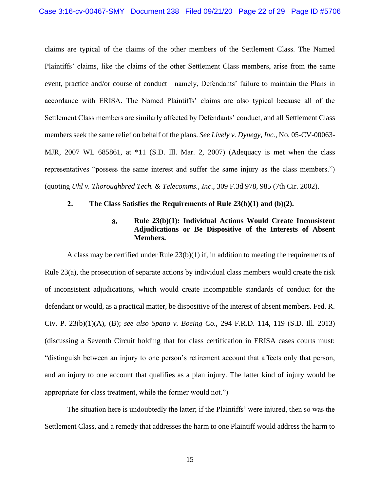claims are typical of the claims of the other members of the Settlement Class. The Named Plaintiffs' claims, like the claims of the other Settlement Class members, arise from the same event, practice and/or course of conduct—namely, Defendants' failure to maintain the Plans in accordance with ERISA. The Named Plaintiffs' claims are also typical because all of the Settlement Class members are similarly affected by Defendants' conduct, and all Settlement Class members seek the same relief on behalf of the plans. *See Lively v. Dynegy, Inc.*, No. 05-CV-00063- MJR, 2007 WL 685861, at \*11 (S.D. Ill. Mar. 2, 2007) (Adequacy is met when the class representatives "possess the same interest and suffer the same injury as the class members.") (quoting *Uhl v. Thoroughbred Tech. & Telecomms., Inc*., 309 F.3d 978, 985 (7th Cir. 2002).

#### <span id="page-21-2"></span> $2.$ **The Class Satisfies the Requirements of Rule 23(b)(1) and (b)(2).**

### <span id="page-21-5"></span><span id="page-21-4"></span><span id="page-21-1"></span><span id="page-21-0"></span>a. **Rule 23(b)(1): Individual Actions Would Create Inconsistent Adjudications or Be Dispositive of the Interests of Absent Members.**

<span id="page-21-6"></span><span id="page-21-3"></span>A class may be certified under Rule  $23(b)(1)$  if, in addition to meeting the requirements of Rule 23(a), the prosecution of separate actions by individual class members would create the risk of inconsistent adjudications, which would create incompatible standards of conduct for the defendant or would, as a practical matter, be dispositive of the interest of absent members. Fed. R. Civ. P. 23(b)(1)(A), (B); *see also Spano v. Boeing Co.*, 294 F.R.D. 114, 119 (S.D. Ill. 2013) (discussing a Seventh Circuit holding that for class certification in ERISA cases courts must: "distinguish between an injury to one person's retirement account that affects only that person, and an injury to one account that qualifies as a plan injury. The latter kind of injury would be appropriate for class treatment, while the former would not.")

The situation here is undoubtedly the latter; if the Plaintiffs' were injured, then so was the Settlement Class, and a remedy that addresses the harm to one Plaintiff would address the harm to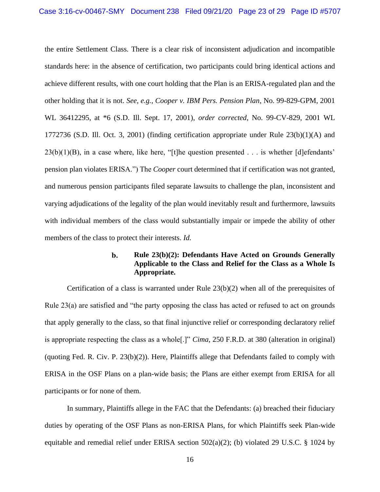<span id="page-22-6"></span><span id="page-22-1"></span>the entire Settlement Class. There is a clear risk of inconsistent adjudication and incompatible standards here: in the absence of certification, two participants could bring identical actions and achieve different results, with one court holding that the Plan is an ERISA-regulated plan and the other holding that it is not. *See, e.g.*, *Cooper v. IBM Pers. Pension Plan*, No. 99-829-GPM, 2001 WL 36412295, at \*6 (S.D. Ill. Sept. 17, 2001), *order corrected*, No. 99-CV-829, 2001 WL 1772736 (S.D. Ill. Oct. 3, 2001) (finding certification appropriate under Rule  $23(b)(1)(A)$  and  $23(b)(1)(B)$ , in a case where, like here, "[t]he question presented . . . is whether [d]efendants' pension plan violates ERISA.") The *Cooper* court determined that if certification was not granted, and numerous pension participants filed separate lawsuits to challenge the plan, inconsistent and varying adjudications of the legality of the plan would inevitably result and furthermore, lawsuits with individual members of the class would substantially impair or impede the ability of other members of the class to protect their interests. *Id.* 

### <span id="page-22-7"></span><span id="page-22-5"></span><span id="page-22-0"></span>**Rule 23(b)(2): Defendants Have Acted on Grounds Generally**   $\mathbf{b}$ . **Applicable to the Class and Relief for the Class as a Whole Is Appropriate.**

<span id="page-22-4"></span>Certification of a class is warranted under Rule  $23(b)(2)$  when all of the prerequisites of Rule 23(a) are satisfied and "the party opposing the class has acted or refused to act on grounds that apply generally to the class, so that final injunctive relief or corresponding declaratory relief is appropriate respecting the class as a whole[.]" *Cima*, 250 F.R.D. at 380 (alteration in original) (quoting Fed. R. Civ. P. 23(b)(2)). Here, Plaintiffs allege that Defendants failed to comply with ERISA in the OSF Plans on a plan-wide basis; the Plans are either exempt from ERISA for all participants or for none of them.

<span id="page-22-3"></span><span id="page-22-2"></span>In summary, Plaintiffs allege in the FAC that the Defendants: (a) breached their fiduciary duties by operating of the OSF Plans as non-ERISA Plans, for which Plaintiffs seek Plan-wide equitable and remedial relief under ERISA section 502(a)(2); (b) violated 29 U.S.C. § 1024 by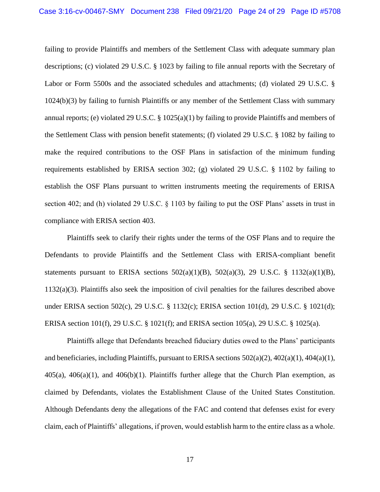<span id="page-23-6"></span><span id="page-23-5"></span><span id="page-23-3"></span><span id="page-23-2"></span>failing to provide Plaintiffs and members of the Settlement Class with adequate summary plan descriptions; (c) violated 29 U.S.C. § 1023 by failing to file annual reports with the Secretary of Labor or Form 5500s and the associated schedules and attachments; (d) violated 29 U.S.C. § 1024(b)(3) by failing to furnish Plaintiffs or any member of the Settlement Class with summary annual reports; (e) violated 29 U.S.C. § 1025(a)(1) by failing to provide Plaintiffs and members of the Settlement Class with pension benefit statements; (f) violated 29 U.S.C. § 1082 by failing to make the required contributions to the OSF Plans in satisfaction of the minimum funding requirements established by ERISA section 302; (g) violated 29 U.S.C. § 1102 by failing to establish the OSF Plans pursuant to written instruments meeting the requirements of ERISA section 402; and (h) violated 29 U.S.C. § 1103 by failing to put the OSF Plans' assets in trust in compliance with ERISA section 403.

<span id="page-23-18"></span><span id="page-23-16"></span><span id="page-23-15"></span><span id="page-23-10"></span><span id="page-23-9"></span><span id="page-23-8"></span><span id="page-23-7"></span>Plaintiffs seek to clarify their rights under the terms of the OSF Plans and to require the Defendants to provide Plaintiffs and the Settlement Class with ERISA-compliant benefit statements pursuant to ERISA sections  $502(a)(1)(B)$ ,  $502(a)(3)$ , 29 U.S.C. § 1132(a)(1)(B), 1132(a)(3). Plaintiffs also seek the imposition of civil penalties for the failures described above under ERISA section 502(c), 29 U.S.C. § 1132(c); ERISA section 101(d), 29 U.S.C. § 1021(d); ERISA section 101(f), 29 U.S.C. § 1021(f); and ERISA section 105(a), 29 U.S.C. § 1025(a).

<span id="page-23-24"></span><span id="page-23-23"></span><span id="page-23-22"></span><span id="page-23-21"></span><span id="page-23-20"></span><span id="page-23-19"></span><span id="page-23-17"></span><span id="page-23-14"></span><span id="page-23-13"></span><span id="page-23-12"></span><span id="page-23-11"></span><span id="page-23-4"></span><span id="page-23-1"></span><span id="page-23-0"></span>Plaintiffs allege that Defendants breached fiduciary duties owed to the Plans' participants and beneficiaries, including Plaintiffs, pursuant to ERISA sections  $502(a)(2)$ ,  $402(a)(1)$ ,  $404(a)(1)$ ,  $405(a)$ ,  $406(a)(1)$ , and  $406(b)(1)$ . Plaintiffs further allege that the Church Plan exemption, as claimed by Defendants, violates the Establishment Clause of the United States Constitution. Although Defendants deny the allegations of the FAC and contend that defenses exist for every claim, each of Plaintiffs' allegations, if proven, would establish harm to the entire class as a whole.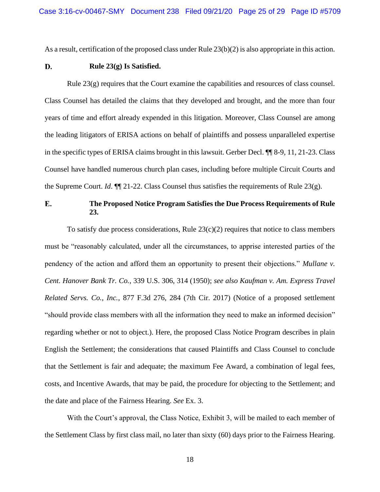<span id="page-24-3"></span>As a result, certification of the proposed class under Rule 23(b)(2) is also appropriate in this action.

#### <span id="page-24-5"></span>D. **Rule 23(g) Is Satisfied.**

Rule 23(g) requires that the Court examine the capabilities and resources of class counsel. Class Counsel has detailed the claims that they developed and brought, and the more than four years of time and effort already expended in this litigation. Moreover, Class Counsel are among the leading litigators of ERISA actions on behalf of plaintiffs and possess unparalleled expertise in the specific types of ERISA claims brought in this lawsuit. Gerber Decl. ¶¶ 8-9, 11, 21-23. Class Counsel have handled numerous church plan cases, including before multiple Circuit Courts and the Supreme Court. *Id*. ¶¶ 21-22. Class Counsel thus satisfies the requirements of Rule 23(g).

### <span id="page-24-2"></span>E. **The Proposed Notice Program Satisfies the Due Process Requirements of Rule 23.**

<span id="page-24-4"></span><span id="page-24-1"></span><span id="page-24-0"></span>To satisfy due process considerations, Rule  $23(c)(2)$  requires that notice to class members must be "reasonably calculated, under all the circumstances, to apprise interested parties of the pendency of the action and afford them an opportunity to present their objections." *Mullane v. Cent. Hanover Bank Tr. Co.*, 339 U.S. 306, 314 (1950); *see also Kaufman v. Am. Express Travel Related Servs. Co., Inc.*, 877 F.3d 276, 284 (7th Cir. 2017) (Notice of a proposed settlement "should provide class members with all the information they need to make an informed decision" regarding whether or not to object.). Here, the proposed Class Notice Program describes in plain English the Settlement; the considerations that caused Plaintiffs and Class Counsel to conclude that the Settlement is fair and adequate; the maximum Fee Award, a combination of legal fees, costs, and Incentive Awards, that may be paid, the procedure for objecting to the Settlement; and the date and place of the Fairness Hearing. *See* Ex. 3.

With the Court's approval, the Class Notice, Exhibit 3, will be mailed to each member of the Settlement Class by first class mail, no later than sixty (60) days prior to the Fairness Hearing.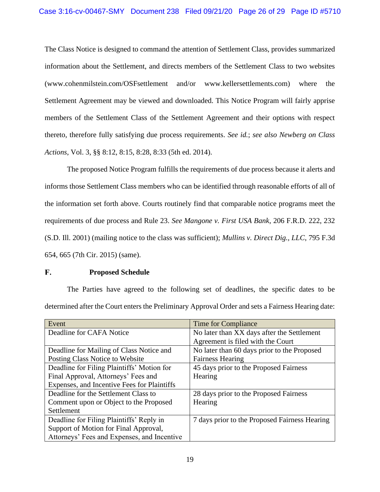The Class Notice is designed to command the attention of Settlement Class, provides summarized information about the Settlement, and directs members of the Settlement Class to two websites (www.cohenmilstein.com/OSFsettlement and/or www.kellersettlements.com) where the Settlement Agreement may be viewed and downloaded. This Notice Program will fairly apprise members of the Settlement Class of the Settlement Agreement and their options with respect thereto, therefore fully satisfying due process requirements. *See id.*; *see also Newberg on Class Actions*, Vol. 3, §§ 8:12, 8:15, 8:28, 8:33 (5th ed. 2014).

<span id="page-25-3"></span><span id="page-25-2"></span><span id="page-25-0"></span>The proposed Notice Program fulfills the requirements of due process because it alerts and informs those Settlement Class members who can be identified through reasonable efforts of all of the information set forth above. Courts routinely find that comparable notice programs meet the requirements of due process and Rule 23. *See Mangone v. First USA Bank*, 206 F.R.D. 222, 232 (S.D. Ill. 2001) (mailing notice to the class was sufficient); *Mullins v. Direct Dig., LLC*, 795 F.3d 654, 665 (7th Cir. 2015) (same).

#### <span id="page-25-1"></span>F. **Proposed Schedule**

The Parties have agreed to the following set of deadlines, the specific dates to be determined after the Court enters the Preliminary Approval Order and sets a Fairness Hearing date:

| Event                                       | Time for Compliance                           |
|---------------------------------------------|-----------------------------------------------|
| Deadline for CAFA Notice                    | No later than XX days after the Settlement    |
|                                             | Agreement is filed with the Court             |
| Deadline for Mailing of Class Notice and    | No later than 60 days prior to the Proposed   |
| Posting Class Notice to Website             | <b>Fairness Hearing</b>                       |
| Deadline for Filing Plaintiffs' Motion for  | 45 days prior to the Proposed Fairness        |
| Final Approval, Attorneys' Fees and         | Hearing                                       |
| Expenses, and Incentive Fees for Plaintiffs |                                               |
| Deadline for the Settlement Class to        | 28 days prior to the Proposed Fairness        |
| Comment upon or Object to the Proposed      | Hearing                                       |
| Settlement                                  |                                               |
| Deadline for Filing Plaintiffs' Reply in    | 7 days prior to the Proposed Fairness Hearing |
| Support of Motion for Final Approval,       |                                               |
| Attorneys' Fees and Expenses, and Incentive |                                               |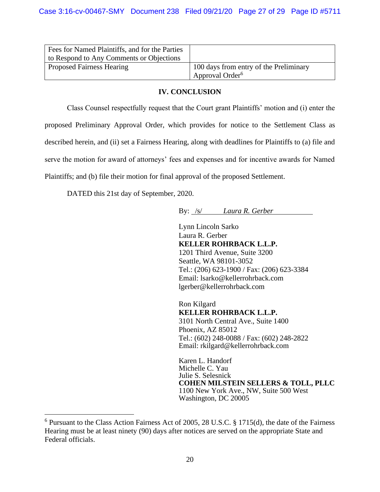| Fees for Named Plaintiffs, and for the Parties<br>to Respond to Any Comments or Objections |                                                                       |
|--------------------------------------------------------------------------------------------|-----------------------------------------------------------------------|
| <b>Proposed Fairness Hearing</b>                                                           | 100 days from entry of the Preliminary<br>Approval Order <sup>6</sup> |

## **IV. CONCLUSION**

Class Counsel respectfully request that the Court grant Plaintiffs' motion and (i) enter the proposed Preliminary Approval Order, which provides for notice to the Settlement Class as described herein, and (ii) set a Fairness Hearing, along with deadlines for Plaintiffs to (a) file and serve the motion for award of attorneys' fees and expenses and for incentive awards for Named Plaintiffs; and (b) file their motion for final approval of the proposed Settlement.

DATED this 21st day of September, 2020.

By: /s/ *Laura R. Gerber*

Lynn Lincoln Sarko Laura R. Gerber **KELLER ROHRBACK L.L.P.** 1201 Third Avenue, Suite 3200 Seattle, WA 98101-3052 Tel.: (206) 623-1900 / Fax: (206) 623-3384 Email: lsarko@kellerrohrback.com lgerber@kellerrohrback.com

Ron Kilgard **KELLER ROHRBACK L.L.P.** 3101 North Central Ave., Suite 1400 Phoenix, AZ 85012 Tel.: (602) 248-0088 / Fax: (602) 248-2822 Email: rkilgard@kellerrohrback.com

Karen L. Handorf Michelle C. Yau Julie S. Selesnick **COHEN MILSTEIN SELLERS & TOLL, PLLC** 1100 New York Ave., NW, Suite 500 West Washington, DC 20005

<span id="page-26-0"></span><sup>6</sup> Pursuant to the Class Action Fairness Act of 2005, 28 U.S.C. § 1715(d), the date of the Fairness Hearing must be at least ninety (90) days after notices are served on the appropriate State and Federal officials.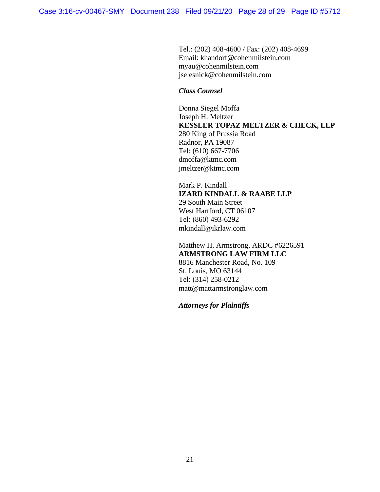Tel.: (202) 408-4600 / Fax: (202) 408-4699 Email: khandorf@cohenmilstein.com myau@cohenmilstein.com jselesnick@cohenmilstein.com

## *Class Counsel*

Donna Siegel Moffa Joseph H. Meltzer **KESSLER TOPAZ MELTZER & CHECK, LLP** 280 King of Prussia Road Radnor, PA 19087 Tel: (610) 667-7706 dmoffa@ktmc.com jmeltzer@ktmc.com

Mark P. Kindall **IZARD KINDALL & RAABE LLP** 29 South Main Street West Hartford, CT 06107 Tel: (860) 493-6292 mkindall@ikrlaw.com

Matthew H. Armstrong, ARDC #6226591 **ARMSTRONG LAW FIRM LLC** 8816 Manchester Road, No. 109 St. Louis, MO 63144 Tel: (314) 258-0212 matt@mattarmstronglaw.com

*Attorneys for Plaintiffs*